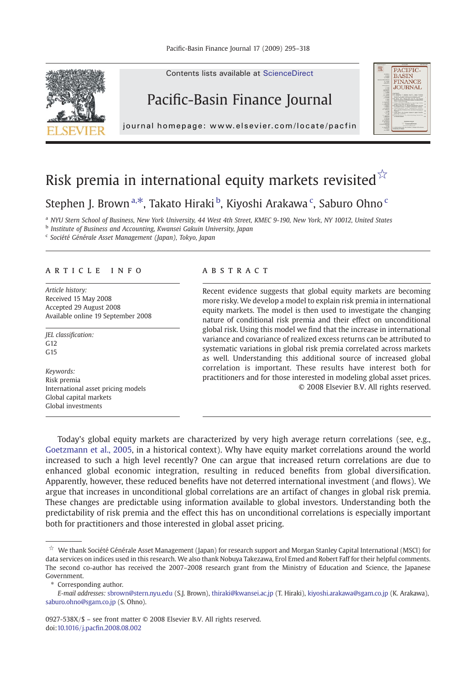

## Risk premia in international equity markets revisited $\mathbb{X}$

### Stephen J. Brown<sup>a,\*</sup>, Takato Hiraki <sup>b</sup>, Kiyoshi Arakawa <sup>c</sup>, Saburo Ohno <sup>c</sup>

<sup>a</sup> NYU Stern School of Business, New York University, 44 West 4th Street, KMEC 9-190, New York, NY 10012. United States

**b** Institute of Business and Accounting, Kwansei Gakuin University, Japan

<sup>c</sup> Société Générale Asset Management (Japan), Tokyo, Japan

### article info abstract

Article history: Received 15 May 2008 Accepted 29 August 2008 Available online 19 September 2008

JEL classification:  $G<sub>12</sub>$  $G<sub>15</sub>$ 

Keywords: Risk premia International asset pricing models Global capital markets Global investments

Recent evidence suggests that global equity markets are becoming more risky. We develop a model to explain risk premia in international equity markets. The model is then used to investigate the changing nature of conditional risk premia and their effect on unconditional global risk. Using this model we find that the increase in international variance and covariance of realized excess returns can be attributed to systematic variations in global risk premia correlated across markets as well. Understanding this additional source of increased global correlation is important. These results have interest both for practitioners and for those interested in modeling global asset prices. © 2008 Elsevier B.V. All rights reserved.

**PACIFIC** 

**BASIN** FINANCE<br>JOURNAL

Today's global equity markets are characterized by very high average return correlations (see, e.g., [Goetzmann et al., 2005](#page--1-0), in a historical context). Why have equity market correlations around the world increased to such a high level recently? One can argue that increased return correlations are due to enhanced global economic integration, resulting in reduced benefits from global diversification. Apparently, however, these reduced benefits have not deterred international investment (and flows). We argue that increases in unconditional global correlations are an artifact of changes in global risk premia. These changes are predictable using information available to global investors. Understanding both the predictability of risk premia and the effect this has on unconditional correlations is especially important both for practitioners and those interested in global asset pricing.

Corresponding author.

E-mail addresses: sbrown@stern.nyu.edu (S.J. Brown), thiraki@kwansei.ac.jp (T. Hiraki), kiyoshi.arakawa@sgam.co.jp (K. Arakawa), saburo.ohno@sgam.co.jp (S. Ohno).

0927-538X/\$ – see front matter © 2008 Elsevier B.V. All rights reserved. doi:10.1016/j.pacfin.2008.08.002

<sup>☆</sup> We thank Société Générale Asset Management (Japan) for research support and Morgan Stanley Capital International (MSCI) for data services on indices used in this research. We also thank Nobuya Takezawa, Erol Emed and Robert Faff for their helpful comments. The second co-author has received the 2007–2008 research grant from the Ministry of Education and Science, the Japanese Government.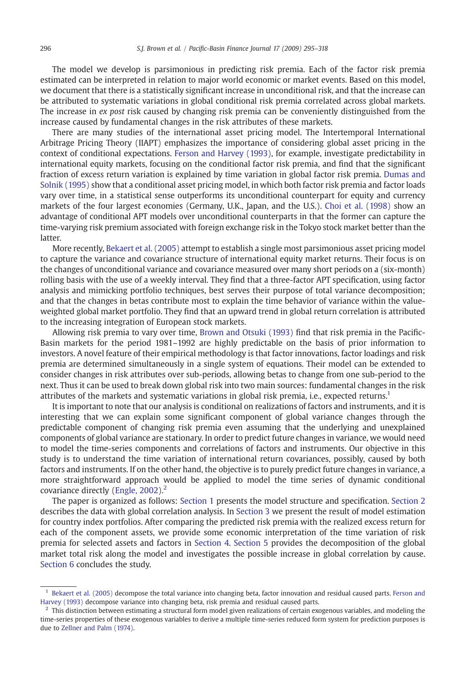The model we develop is parsimonious in predicting risk premia. Each of the factor risk premia estimated can be interpreted in relation to major world economic or market events. Based on this model, we document that there is a statistically significant increase in unconditional risk, and that the increase can be attributed to systematic variations in global conditional risk premia correlated across global markets. The increase in ex post risk caused by changing risk premia can be conveniently distinguished from the increase caused by fundamental changes in the risk attributes of these markets.

There are many studies of the international asset pricing model. The Intertemporal International Arbitrage Pricing Theory (IIAPT) emphasizes the importance of considering global asset pricing in the context of conditional expectations. [Ferson and Harvey \(1993\),](#page--1-0) for example, investigate predictability in international equity markets, focusing on the conditional factor risk premia, and find that the significant fraction of excess return variation is explained by time variation in global factor risk premia. [Dumas and](#page--1-0) [Solnik \(1995\)](#page--1-0) show that a conditional asset pricing model, in which both factor risk premia and factor loads vary over time, in a statistical sense outperforms its unconditional counterpart for equity and currency markets of the four largest economies (Germany, U.K., Japan, and the U.S.). [Choi et al. \(1998\)](#page--1-0) show an advantage of conditional APT models over unconditional counterparts in that the former can capture the time-varying risk premium associated with foreign exchange risk in the Tokyo stock market better than the latter.

More recently, [Bekaert et al. \(2005\)](#page--1-0) attempt to establish a single most parsimonious asset pricing model to capture the variance and covariance structure of international equity market returns. Their focus is on the changes of unconditional variance and covariance measured over many short periods on a (six-month) rolling basis with the use of a weekly interval. They find that a three-factor APT specification, using factor analysis and mimicking portfolio techniques, best serves their purpose of total variance decomposition; and that the changes in betas contribute most to explain the time behavior of variance within the valueweighted global market portfolio. They find that an upward trend in global return correlation is attributed to the increasing integration of European stock markets.

Allowing risk premia to vary over time, [Brown and Otsuki \(1993\)](#page--1-0) find that risk premia in the Pacific-Basin markets for the period 1981–1992 are highly predictable on the basis of prior information to investors. A novel feature of their empirical methodology is that factor innovations, factor loadings and risk premia are determined simultaneously in a single system of equations. Their model can be extended to consider changes in risk attributes over sub-periods, allowing betas to change from one sub-period to the next. Thus it can be used to break down global risk into two main sources: fundamental changes in the risk attributes of the markets and systematic variations in global risk premia, i.e., expected returns.<sup>1</sup>

It is important to note that our analysis is conditional on realizations of factors and instruments, and it is interesting that we can explain some significant component of global variance changes through the predictable component of changing risk premia even assuming that the underlying and unexplained components of global variance are stationary. In order to predict future changes in variance, we would need to model the time-series components and correlations of factors and instruments. Our objective in this study is to understand the time variation of international return covariances, possibly, caused by both factors and instruments. If on the other hand, the objective is to purely predict future changes in variance, a more straightforward approach would be applied to model the time series of dynamic conditional covariance directly [\(Engle, 2002](#page--1-0)). $<sup>2</sup>$ </sup>

The paper is organized as follows: [Section 1](#page--1-0) presents the model structure and specification. [Section 2](#page--1-0) describes the data with global correlation analysis. In [Section 3](#page--1-0) we present the result of model estimation for country index portfolios. After comparing the predicted risk premia with the realized excess return for each of the component assets, we provide some economic interpretation of the time variation of risk premia for selected assets and factors in [Section 4.](#page--1-0) [Section 5](#page--1-0) provides the decomposition of the global market total risk along the model and investigates the possible increase in global correlation by cause. [Section 6](#page--1-0) concludes the study.

<sup>&</sup>lt;sup>1</sup> [Bekaert et al. \(2005\)](#page--1-0) decompose the total variance into changing beta, factor innovation and residual caused parts. [Ferson and](#page--1-0) [Harvey \(1993\)](#page--1-0) decompose variance into changing beta, risk premia and residual caused parts.

 $2$  This distinction between estimating a structural form model given realizations of certain exogenous variables, and modeling the time-series properties of these exogenous variables to derive a multiple time-series reduced form system for prediction purposes is due to [Zellner and Palm \(1974\)](#page--1-0).